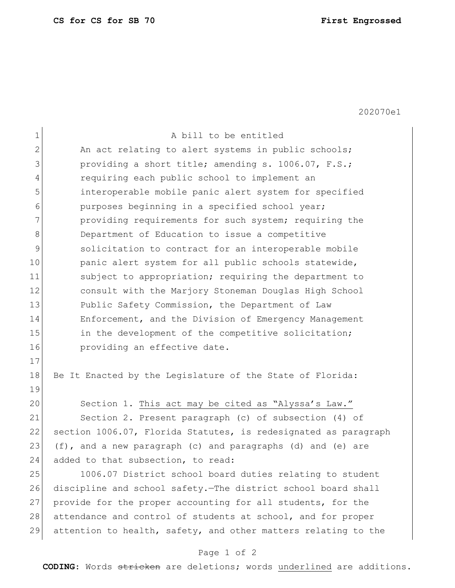202070e1

| $\mathbf 1$    | A bill to be entitled                                           |
|----------------|-----------------------------------------------------------------|
| $\overline{2}$ | An act relating to alert systems in public schools;             |
| 3              | providing a short title; amending s. 1006.07, F.S.;             |
| 4              | requiring each public school to implement an                    |
| 5              | interoperable mobile panic alert system for specified           |
| 6              | purposes beginning in a specified school year;                  |
| 7              | providing requirements for such system; requiring the           |
| 8              | Department of Education to issue a competitive                  |
| 9              | solicitation to contract for an interoperable mobile            |
| 10             | panic alert system for all public schools statewide,            |
| 11             | subject to appropriation; requiring the department to           |
| 12             | consult with the Marjory Stoneman Douglas High School           |
| 13             | Public Safety Commission, the Department of Law                 |
| 14             | Enforcement, and the Division of Emergency Management           |
| 15             | in the development of the competitive solicitation;             |
| 16             | providing an effective date.                                    |
| 17             |                                                                 |
| 18             | Be It Enacted by the Legislature of the State of Florida:       |
| 19             |                                                                 |
| 20             | Section 1. This act may be cited as "Alyssa's Law."             |
| 21             | Section 2. Present paragraph (c) of subsection (4) of           |
| 22             | section 1006.07, Florida Statutes, is redesignated as paragraph |
| 23             | (f), and a new paragraph (c) and paragraphs (d) and (e) are     |
| 24             | added to that subsection, to read:                              |
| 25             | 1006.07 District school board duties relating to student        |
| 26             | discipline and school safety. The district school board shall   |
| 27             | provide for the proper accounting for all students, for the     |
| 28             | attendance and control of students at school, and for proper    |
| 29             | attention to health, safety, and other matters relating to the  |

## Page 1 of 2

**CODING**: Words stricken are deletions; words underlined are additions.